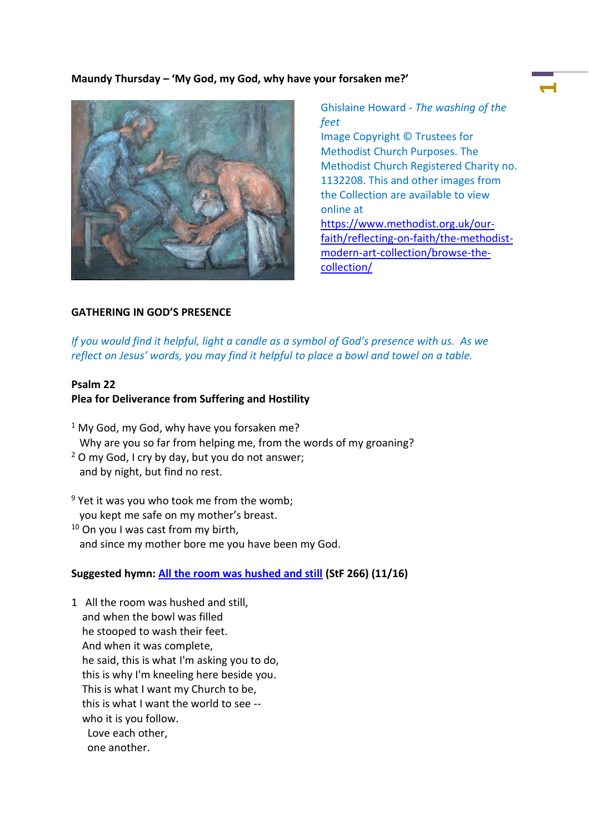# **Maundy Thursday – 'My God, my God, why have your forsaken me?'**



Ghislaine Howard - *The washing of the feet* Image Copyright © Trustees for Methodist Church Purposes. The Methodist Church Registered Charity no. 1132208. This and other images from the Collection are available to view online at [https://www.methodist.org.uk/our](https://www.methodist.org.uk/our-faith/reflecting-on-faith/the-methodist-modern-art-collection/browse-the-collection/)[faith/reflecting-on-faith/the-methodist](https://www.methodist.org.uk/our-faith/reflecting-on-faith/the-methodist-modern-art-collection/browse-the-collection/)[modern-art-collection/browse-the-](https://www.methodist.org.uk/our-faith/reflecting-on-faith/the-methodist-modern-art-collection/browse-the-collection/) **1**

# **GATHERING IN GOD'S PRESENCE**

*If you would find it helpful, light a candle as a symbol of God's presence with us. As we reflect on Jesus' words, you may find it helpful to place a bowl and towel on a table.*

[collection/](https://www.methodist.org.uk/our-faith/reflecting-on-faith/the-methodist-modern-art-collection/browse-the-collection/)

# **Psalm 22**

# **Plea for Deliverance from Suffering and Hostility**

- $1$  My God, my God, why have you forsaken me? Why are you so far from helping me, from the words of my groaning?
- $2$  O my God, I cry by day, but you do not answer; and by night, but find no rest.
- $9$  Yet it was you who took me from the womb; you kept me safe on my mother's breast.
- <sup>10</sup> On you I was cast from my birth, and since my mother bore me you have been my God.

# **Suggested hymn: [All the room was hushed and still](https://www.methodist.org.uk/our-faith/worship/singing-the-faith-plus/hymns/all-the-room-was-hushed-and-still-stf-266/) (StF 266) (11/16)**

1 All the room was hushed and still, and when the bowl was filled he stooped to wash their feet. And when it was complete, he said, this is what I'm asking you to do, this is why I'm kneeling here beside you. This is what I want my Church to be, this is what I want the world to see - who it is you follow. Love each other, one another.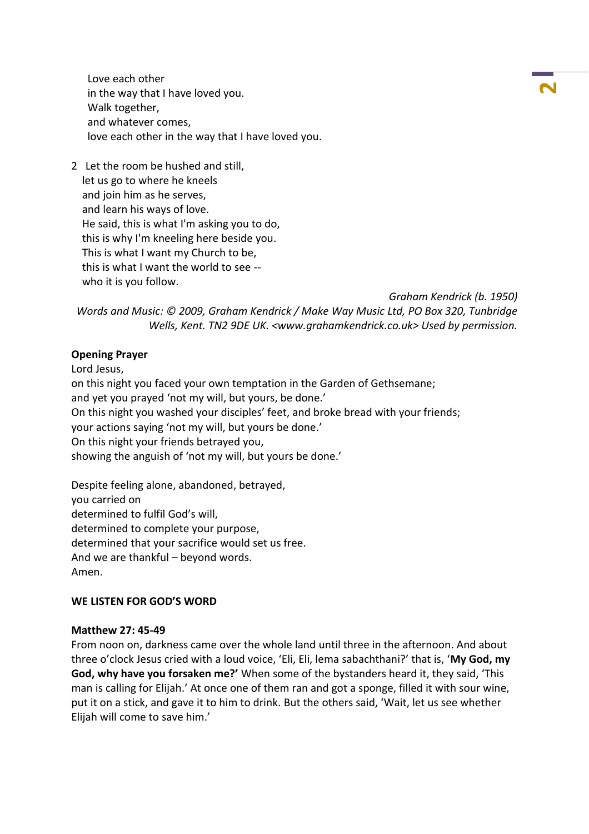Love each other in the way that I have loved you. Walk together, and whatever comes, love each other in the way that I have loved you.

2 Let the room be hushed and still, let us go to where he kneels and join him as he serves, and learn his ways of love. He said, this is what I'm asking you to do, this is why I'm kneeling here beside you. This is what I want my Church to be, this is what I want the world to see - who it is you follow.

*Graham Kendrick (b. 1950)*

**2**

*Words and Music: © 2009, Graham Kendrick / Make Way Music Ltd, PO Box 320, Tunbridge Wells, Kent. TN2 9DE UK. <www.grahamkendrick.co.uk> Used by permission.*

### **Opening Prayer**

Lord Jesus,

on this night you faced your own temptation in the Garden of Gethsemane; and yet you prayed 'not my will, but yours, be done.' On this night you washed your disciples' feet, and broke bread with your friends; your actions saying 'not my will, but yours be done.' On this night your friends betrayed you, showing the anguish of 'not my will, but yours be done.'

Despite feeling alone, abandoned, betrayed, you carried on determined to fulfil God's will, determined to complete your purpose, determined that your sacrifice would set us free. And we are thankful – beyond words. Amen.

#### **WE LISTEN FOR GOD'S WORD**

#### **Matthew 27: 45-49**

From noon on, darkness came over the whole land until three in the afternoon. And about three o'clock Jesus cried with a loud voice, 'Eli, Eli, lema sabachthani?' that is, '**My God, my God, why have you forsaken me?'** When some of the bystanders heard it, they said, 'This man is calling for Elijah.' At once one of them ran and got a sponge, filled it with sour wine, put it on a stick, and gave it to him to drink. But the others said, 'Wait, let us see whether Elijah will come to save him.'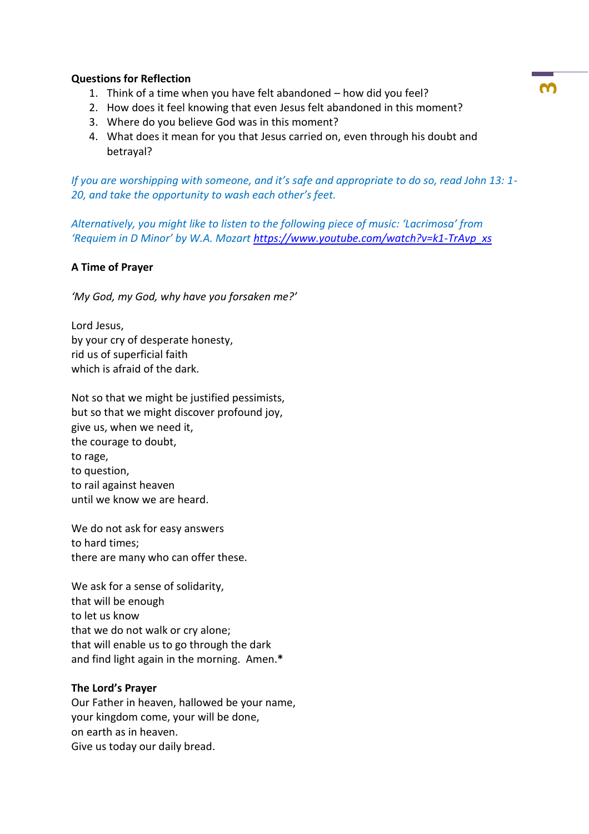# **Questions for Reflection**

- 1. Think of a time when you have felt abandoned how did you feel?
- 2. How does it feel knowing that even Jesus felt abandoned in this moment?
- 3. Where do you believe God was in this moment?
- 4. What does it mean for you that Jesus carried on, even through his doubt and betrayal?

*If you are worshipping with someone, and it's safe and appropriate to do so, read John 13: 1- 20, and take the opportunity to wash each other's feet.*

*Alternatively, you might like to listen to the following piece of music: 'Lacrimosa' from 'Requiem in D Minor' by W.A. Mozart [https://www.youtube.com/watch?v=k1-TrAvp\\_xs](https://www.youtube.com/watch?v=k1-TrAvp_xs)*

# **A Time of Prayer**

*'My God, my God, why have you forsaken me?'*

Lord Jesus, by your cry of desperate honesty, rid us of superficial faith which is afraid of the dark.

Not so that we might be justified pessimists, but so that we might discover profound joy, give us, when we need it, the courage to doubt, to rage, to question, to rail against heaven until we know we are heard.

We do not ask for easy answers to hard times; there are many who can offer these.

We ask for a sense of solidarity, that will be enough to let us know that we do not walk or cry alone; that will enable us to go through the dark and find light again in the morning. Amen.**\***

# **The Lord's Prayer**

Our Father in heaven, hallowed be your name, your kingdom come, your will be done, on earth as in heaven. Give us today our daily bread.